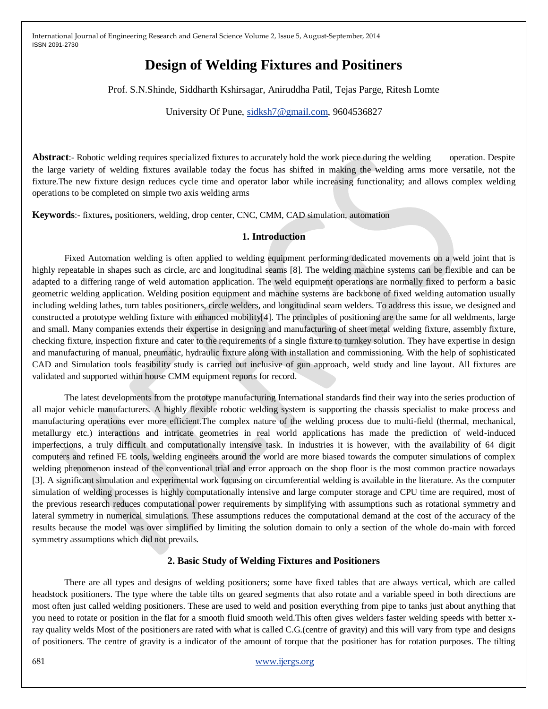# **Design of Welding Fixtures and Positiners**

Prof. S.N.Shinde, Siddharth Kshirsagar, Aniruddha Patil, Tejas Parge, Ritesh Lomte

University Of Pune, [sidksh7@gmail.com,](mailto:sidksh7@gmail.com) 9604536827

**Abstract:**- Robotic welding requires specialized fixtures to accurately hold the work piece during the welding operation. Despite the large variety of welding fixtures available today the focus has shifted in making the welding arms more versatile, not the fixture.The new fixture design reduces cycle time and operator labor while increasing functionality; and allows complex welding operations to be completed on simple two axis welding arms

**Keywords**:- fixtures**,** positioners, welding, drop center, CNC, CMM, CAD simulation, automation

## **1. Introduction**

Fixed Automation welding is often applied to welding equipment performing dedicated movements on a weld joint that is highly repeatable in shapes such as circle, arc and longitudinal seams [8]. The welding machine systems can be flexible and can be adapted to a differing range of weld automation application. The weld equipment operations are normally fixed to perform a basic geometric welding application. Welding position equipment and machine systems are backbone of fixed welding automation usually including welding lathes, turn tables positioners, circle welders, and longitudinal seam welders. To address this issue, we designed and constructed a prototype welding fixture with enhanced mobility[4]. The principles of positioning are the same for all weldments, large and small. Many companies extends their expertise in designing and manufacturing of sheet metal welding fixture, assembly fixture, checking fixture, inspection fixture and cater to the requirements of a single fixture to turnkey solution. They have expertise in design and manufacturing of manual, pneumatic, hydraulic fixture along with installation and commissioning. With the help of sophisticated CAD and Simulation tools feasibility study is carried out inclusive of gun approach, weld study and line layout. All fixtures are validated and supported within house CMM equipment reports for record.

The latest developments from the prototype manufacturing International standards find their way into the series production of all major vehicle manufacturers. A highly flexible robotic welding system is supporting the chassis specialist to make process and manufacturing operations ever more efficient.The complex nature of the welding process due to multi-field (thermal, mechanical, metallurgy etc.) interactions and intricate geometries in real world applications has made the prediction of weld-induced imperfections, a truly difficult and computationally intensive task. In industries it is however, with the availability of 64 digit computers and refined FE tools, welding engineers around the world are more biased towards the computer simulations of complex welding phenomenon instead of the conventional trial and error approach on the shop floor is the most common practice nowadays [3]. A significant simulation and experimental work focusing on circumferential welding is available in the literature. As the computer simulation of welding processes is highly computationally intensive and large computer storage and CPU time are required, most of the previous research reduces computational power requirements by simplifying with assumptions such as rotational symmetry and lateral symmetry in numerical simulations. These assumptions reduces the computational demand at the cost of the accuracy of the results because the model was over simplified by limiting the solution domain to only a section of the whole do-main with forced symmetry assumptions which did not prevails.

### **2. Basic Study of Welding Fixtures and Positioners**

There are all types and designs of welding positioners; some have fixed tables that are always vertical, which are called headstock positioners. The type where the table tilts on geared segments that also rotate and a variable speed in both directions are most often just called welding positioners. These are used to weld and position everything from pipe to tanks just about anything that you need to rotate or position in the flat for a smooth fluid smooth weld.This often gives welders faster welding speeds with better xray quality welds Most of the positioners are rated with what is called C.G.(centre of gravity) and this will vary from type and designs of positioners. The centre of gravity is a indicator of the amount of torque that the positioner has for rotation purposes. The tilting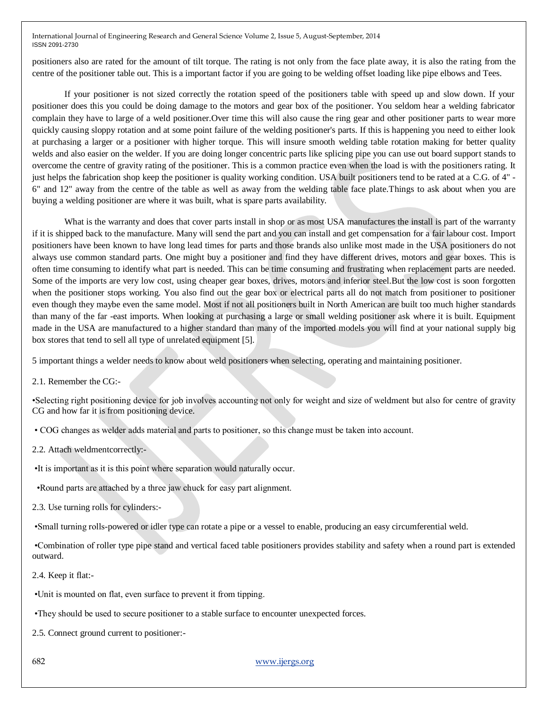positioners also are rated for the amount of tilt torque. The rating is not only from the face plate away, it is also the rating from the centre of the positioner table out. This is a important factor if you are going to be welding offset loading like pipe elbows and Tees.

If your positioner is not sized correctly the rotation speed of the positioners table with speed up and slow down. If your positioner does this you could be doing damage to the motors and gear box of the positioner. You seldom hear a welding fabricator complain they have to large of a weld positioner.Over time this will also cause the ring gear and other positioner parts to wear more quickly causing sloppy rotation and at some point failure of the welding positioner's parts. If this is happening you need to either look at purchasing a larger or a positioner with higher torque. This will insure smooth welding table rotation making for better quality welds and also easier on the welder. If you are doing longer concentric parts like splicing pipe you can use out board support stands to overcome the centre of gravity rating of the positioner. This is a common practice even when the load is with the positioners rating. It just helps the fabrication shop keep the positioner is quality working condition. USA built positioners tend to be rated at a C.G. of 4" - 6" and 12" away from the centre of the table as well as away from the welding table face plate.Things to ask about when you are buying a welding positioner are where it was built, what is spare parts availability.

What is the warranty and does that cover parts install in shop or as most USA manufactures the install is part of the warranty if it is shipped back to the manufacture. Many will send the part and you can install and get compensation for a fair labour cost. Import positioners have been known to have long lead times for parts and those brands also unlike most made in the USA positioners do not always use common standard parts. One might buy a positioner and find they have different drives, motors and gear boxes. This is often time consuming to identify what part is needed. This can be time consuming and frustrating when replacement parts are needed. Some of the imports are very low cost, using cheaper gear boxes, drives, motors and inferior steel.But the low cost is soon forgotten when the positioner stops working. You also find out the gear box or electrical parts all do not match from positioner to positioner even though they maybe even the same model. Most if not all positioners built in North American are built too much higher standards than many of the far -east imports. When looking at purchasing a large or small welding positioner ask where it is built. Equipment made in the USA are manufactured to a higher standard than many of the imported models you will find at your national supply big box stores that tend to sell all type of unrelated equipment [5].

5 important things a welder needs to know about weld positioners when selecting, operating and maintaining positioner.

2.1. Remember the CG:-

•Selecting right positioning device for job involves accounting not only for weight and size of weldment but also for centre of gravity CG and how far it is from positioning device.

• COG changes as welder adds material and parts to positioner, so this change must be taken into account.

2.2. Attach weldmentcorrectly:-

•It is important as it is this point where separation would naturally occur.

•Round parts are attached by a three jaw chuck for easy part alignment.

2.3. Use turning rolls for cylinders:-

•Small turning rolls-powered or idler type can rotate a pipe or a vessel to enable, producing an easy circumferential weld.

•Combination of roller type pipe stand and vertical faced table positioners provides stability and safety when a round part is extended outward.

2.4. Keep it flat:-

•Unit is mounted on flat, even surface to prevent it from tipping.

•They should be used to secure positioner to a stable surface to encounter unexpected forces.

2.5. Connect ground current to positioner:-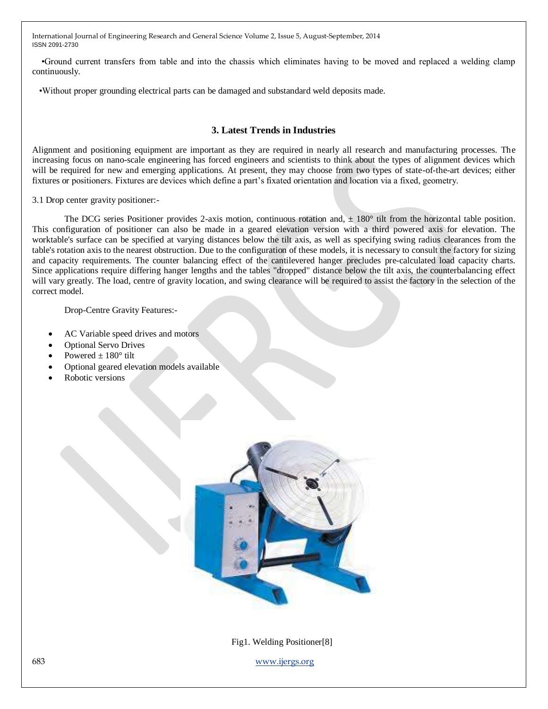•Ground current transfers from table and into the chassis which eliminates having to be moved and replaced a welding clamp continuously.

•Without proper grounding electrical parts can be damaged and substandard weld deposits made.

## **3. Latest Trends in Industries**

Alignment and positioning equipment are important as they are required in nearly all research and manufacturing processes. The increasing focus on nano-scale engineering has forced engineers and scientists to think about the types of alignment devices which will be required for new and emerging applications. At present, they may choose from two types of state-of-the-art devices; either fixtures or positioners. Fixtures are devices which define a part's fixated orientation and location via a fixed, geometry.

3.1 Drop center gravity positioner:-

The DCG series Positioner provides 2-axis motion, continuous rotation and,  $\pm 180^{\circ}$  tilt from the horizontal table position. This configuration of positioner can also be made in a geared elevation version with a third powered axis for elevation. The worktable's surface can be specified at varying distances below the tilt axis, as well as specifying swing radius clearances from the table's rotation axis to the nearest obstruction. Due to the configuration of these models, it is necessary to consult the factory for sizing and capacity requirements. The counter balancing effect of the cantilevered hanger precludes pre-calculated load capacity charts. Since applications require differing hanger lengths and the tables "dropped" distance below the tilt axis, the counterbalancing effect will vary greatly. The load, centre of gravity location, and swing clearance will be required to assist the factory in the selection of the correct model.

Drop-Centre Gravity Features:-

- AC Variable speed drives and motors
- Optional Servo Drives
- Powered  $\pm 180^\circ$  tilt
- Optional geared elevation models available
- Robotic versions



Fig1. Welding Positioner[8]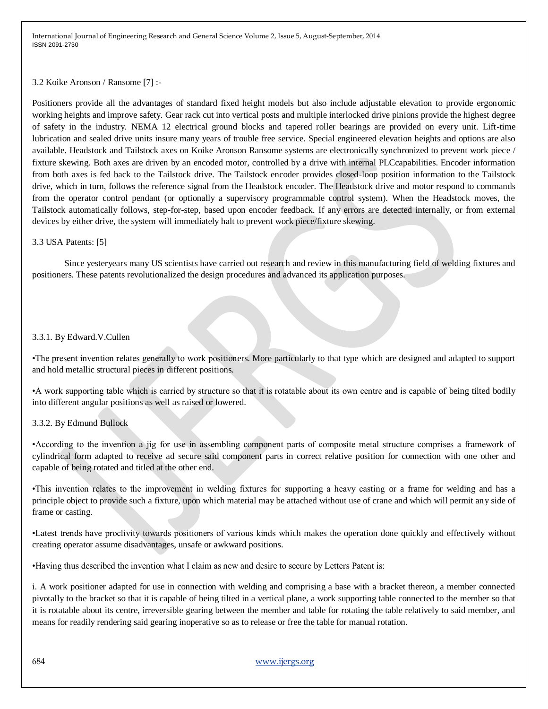#### 3.2 Koike Aronson / Ransome [7] :-

Positioners provide all the advantages of standard fixed height models but also include adjustable elevation to provide ergonomic working heights and improve safety. Gear rack cut into vertical posts and multiple interlocked drive pinions provide the highest degree of safety in the industry. NEMA 12 electrical ground blocks and tapered roller bearings are provided on every unit. Lift-time lubrication and sealed drive units insure many years of trouble free service. Special engineered elevation heights and options are also available. Headstock and Tailstock axes on Koike Aronson Ransome systems are electronically synchronized to prevent work piece / fixture skewing. Both axes are driven by an encoded motor, controlled by a drive with internal PLCcapabilities. Encoder information from both axes is fed back to the Tailstock drive. The Tailstock encoder provides closed-loop position information to the Tailstock drive, which in turn, follows the reference signal from the Headstock encoder. The Headstock drive and motor respond to commands from the operator control pendant (or optionally a supervisory programmable control system). When the Headstock moves, the Tailstock automatically follows, step-for-step, based upon encoder feedback. If any errors are detected internally, or from external devices by either drive, the system will immediately halt to prevent work piece/fixture skewing.

#### 3.3 USA Patents: [5]

Since yesteryears many US scientists have carried out research and review in this manufacturing field of welding fixtures and positioners. These patents revolutionalized the design procedures and advanced its application purposes.

### 3.3.1. By Edward.V.Cullen

•The present invention relates generally to work positioners. More particularly to that type which are designed and adapted to support and hold metallic structural pieces in different positions.

•A work supporting table which is carried by structure so that it is rotatable about its own centre and is capable of being tilted bodily into different angular positions as well as raised or lowered.

### 3.3.2. By Edmund Bullock

•According to the invention a jig for use in assembling component parts of composite metal structure comprises a framework of cylindrical form adapted to receive ad secure said component parts in correct relative position for connection with one other and capable of being rotated and titled at the other end.

•This invention relates to the improvement in welding fixtures for supporting a heavy casting or a frame for welding and has a principle object to provide such a fixture, upon which material may be attached without use of crane and which will permit any side of frame or casting.

•Latest trends have proclivity towards positioners of various kinds which makes the operation done quickly and effectively without creating operator assume disadvantages, unsafe or awkward positions.

•Having thus described the invention what I claim as new and desire to secure by Letters Patent is:

i. A work positioner adapted for use in connection with welding and comprising a base with a bracket thereon, a member connected pivotally to the bracket so that it is capable of being tilted in a vertical plane, a work supporting table connected to the member so that it is rotatable about its centre, irreversible gearing between the member and table for rotating the table relatively to said member, and means for readily rendering said gearing inoperative so as to release or free the table for manual rotation.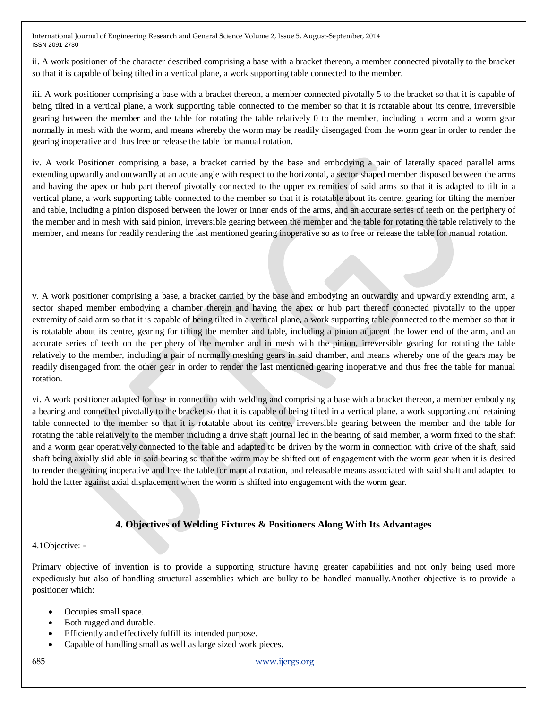ii. A work positioner of the character described comprising a base with a bracket thereon, a member connected pivotally to the bracket so that it is capable of being tilted in a vertical plane, a work supporting table connected to the member.

iii. A work positioner comprising a base with a bracket thereon, a member connected pivotally 5 to the bracket so that it is capable of being tilted in a vertical plane, a work supporting table connected to the member so that it is rotatable about its centre, irreversible gearing between the member and the table for rotating the table relatively 0 to the member, including a worm and a worm gear normally in mesh with the worm, and means whereby the worm may be readily disengaged from the worm gear in order to render the gearing inoperative and thus free or release the table for manual rotation.

iv. A work Positioner comprising a base, a bracket carried by the base and embodying a pair of laterally spaced parallel arms extending upwardly and outwardly at an acute angle with respect to the horizontal, a sector shaped member disposed between the arms and having the apex or hub part thereof pivotally connected to the upper extremities of said arms so that it is adapted to tilt in a vertical plane, a work supporting table connected to the member so that it is rotatable about its centre, gearing for tilting the member and table, including a pinion disposed between the lower or inner ends of the arms, and an accurate series of teeth on the periphery of the member and in mesh with said pinion, irreversible gearing between the member and the table for rotating the table relatively to the member, and means for readily rendering the last mentioned gearing inoperative so as to free or release the table for manual rotation.

v. A work positioner comprising a base, a bracket carried by the base and embodying an outwardly and upwardly extending arm, a sector shaped member embodying a chamber therein and having the apex or hub part thereof connected pivotally to the upper extremity of said arm so that it is capable of being tilted in a vertical plane, a work supporting table connected to the member so that it is rotatable about its centre, gearing for tilting the member and table, including a pinion adjacent the lower end of the arm, and an accurate series of teeth on the periphery of the member and in mesh with the pinion, irreversible gearing for rotating the table relatively to the member, including a pair of normally meshing gears in said chamber, and means whereby one of the gears may be readily disengaged from the other gear in order to render the last mentioned gearing inoperative and thus free the table for manual rotation.

vi. A work positioner adapted for use in connection with welding and comprising a base with a bracket thereon, a member embodying a bearing and connected pivotally to the bracket so that it is capable of being tilted in a vertical plane, a work supporting and retaining table connected to the member so that it is rotatable about its centre, irreversible gearing between the member and the table for rotating the table relatively to the member including a drive shaft journal led in the bearing of said member, a worm fixed to the shaft and a worm gear operatively connected to the table and adapted to be driven by the worm in connection with drive of the shaft, said shaft being axially slid able in said bearing so that the worm may be shifted out of engagement with the worm gear when it is desired to render the gearing inoperative and free the table for manual rotation, and releasable means associated with said shaft and adapted to hold the latter against axial displacement when the worm is shifted into engagement with the worm gear.

# **4. Objectives of Welding Fixtures & Positioners Along With Its Advantages**

4.1Objective: -

Primary objective of invention is to provide a supporting structure having greater capabilities and not only being used more expediously but also of handling structural assemblies which are bulky to be handled manually.Another objective is to provide a positioner which:

- Occupies small space.
- Both rugged and durable.
- Efficiently and effectively fulfill its intended purpose.
- Capable of handling small as well as large sized work pieces.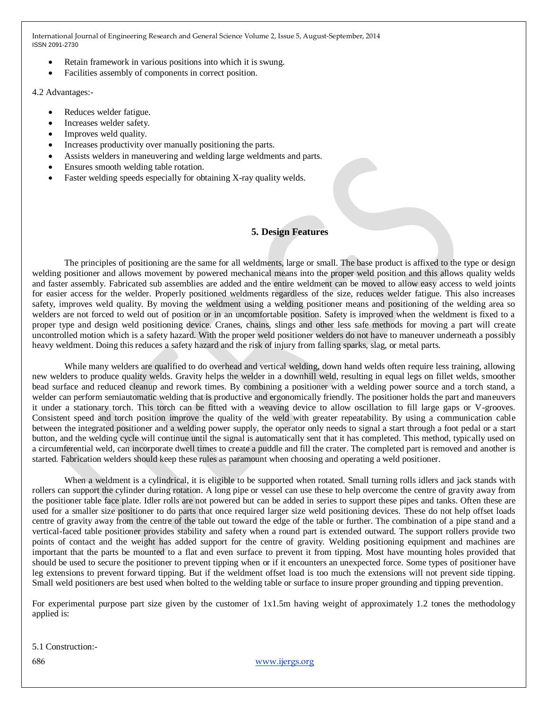- Retain framework in various positions into which it is swung.
- Facilities assembly of components in correct position.

4.2 Advantages:-

- Reduces welder fatigue.
- Increases welder safety.
- Improves weld quality.
- Increases productivity over manually positioning the parts.
- Assists welders in maneuvering and welding large weldments and parts.
- Ensures smooth welding table rotation.
- Faster welding speeds especially for obtaining X-ray quality welds.

## **5. Design Features**

The principles of positioning are the same for all weldments, large or small. The base product is affixed to the type or design welding positioner and allows movement by powered mechanical means into the proper weld position and this allows quality welds and faster assembly. Fabricated sub assemblies are added and the entire weldment can be moved to allow easy access to weld joints for easier access for the welder. Properly positioned weldments regardless of the size, reduces welder fatigue. This also increases safety, improves weld quality. By moving the weldment using a welding positioner means and positioning of the welding area so welders are not forced to weld out of position or in an uncomfortable position. Safety is improved when the weldment is fixed to a proper type and design weld positioning device. Cranes, chains, slings and other less safe methods for moving a part will create uncontrolled motion which is a safety hazard. With the proper weld positioner welders do not have to maneuver underneath a possibly heavy weldment. Doing this reduces a safety hazard and the risk of injury from falling sparks, slag, or metal parts.

While many welders are qualified to do overhead and vertical welding, down hand welds often require less training, allowing new welders to produce quality welds. Gravity helps the welder in a downhill weld, resulting in equal legs on fillet welds, smoother bead surface and reduced cleanup and rework times. By combining a positioner with a welding power source and a torch stand, a welder can perform semiautomatic welding that is productive and ergonomically friendly. The positioner holds the part and maneuvers it under a stationary torch. This torch can be fitted with a weaving device to allow oscillation to fill large gaps or V-grooves. Consistent speed and torch position improve the quality of the weld with greater repeatability. By using a communication cable between the integrated positioner and a welding power supply, the operator only needs to signal a start through a foot pedal or a start button, and the welding cycle will continue until the signal is automatically sent that it has completed. This method, typically used on a circumferential weld, can incorporate dwell times to create a puddle and fill the crater. The completed part is removed and another is started. Fabrication welders should keep these rules as paramount when choosing and operating a weld positioner.

When a weldment is a cylindrical, it is eligible to be supported when rotated. Small turning rolls idlers and jack stands with rollers can support the cylinder during rotation. A long pipe or vessel can use these to help overcome the centre of gravity away from the positioner table face plate. Idler rolls are not powered but can be added in series to support these pipes and tanks. Often these are used for a smaller size positioner to do parts that once required larger size weld positioning devices. These do not help offset loads centre of gravity away from the centre of the table out toward the edge of the table or further. The combination of a pipe stand and a vertical-faced table positioner provides stability and safety when a round part is extended outward. The support rollers provide two points of contact and the weight has added support for the centre of gravity. Welding positioning equipment and machines are important that the parts be mounted to a flat and even surface to prevent it from tipping. Most have mounting holes provided that should be used to secure the positioner to prevent tipping when or if it encounters an unexpected force. Some types of positioner have leg extensions to prevent forward tipping. But if the weldment offset load is too much the extensions will not prevent side tipping. Small weld positioners are best used when bolted to the welding table or surface to insure proper grounding and tipping prevention.

For experimental purpose part size given by the customer of 1x1.5m having weight of approximately 1.2 tones the methodology applied is:

5.1 Construction:-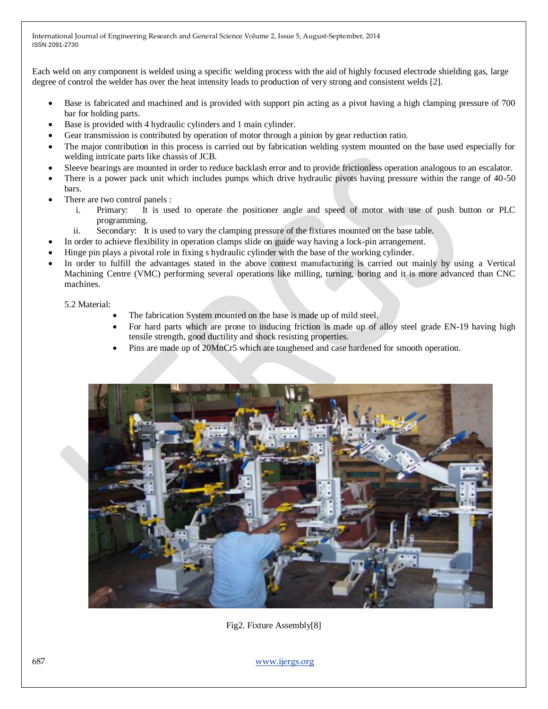Each weld on any component is welded using a specific welding process with the aid of highly focused electrode shielding gas, large degree of control the welder has over the heat intensity leads to production of very strong and consistent welds [2].

- Base is fabricated and machined and is provided with support pin acting as a pivot having a high clamping pressure of 700 bar for holding parts.
- Base is provided with 4 hydraulic cylinders and 1 main cylinder.
- Gear transmission is contributed by operation of motor through a pinion by gear reduction ratio.
- The major contribution in this process is carried out by fabrication welding system mounted on the base used especially for welding intricate parts like chassis of JCB.
- Sleeve bearings are mounted in order to reduce backlash error and to provide frictionless operation analogous to an escalator.
- There is a power pack unit which includes pumps which drive hydraulic pivots having pressure within the range of 40-50 bars.
- There are two control panels :
	- i. Primary: It is used to operate the positioner angle and speed of motor with use of push button or PLC programming.
	- ii. Secondary: It is used to vary the clamping pressure of the fixtures mounted on the base table.
- In order to achieve flexibility in operation clamps slide on guide way having a lock-pin arrangement.
- Hinge pin plays a pivotal role in fixing s hydraulic cylinder with the base of the working cylinder.
- In order to fulfill the advantages stated in the above context manufacturing is carried out mainly by using a Vertical Machining Centre (VMC) performing several operations like milling, turning, boring and it is more advanced than CNC machines.

5.2 Material:

- The fabrication System mounted on the base is made up of mild steel.
- For hard parts which are prone to inducing friction is made up of alloy steel grade EN-19 having high tensile strength, good ductility and shock resisting properties.
- Pins are made up of 20MnCr5 which are toughened and case hardened for smooth operation.



Fig2. Fixture Assembly[8]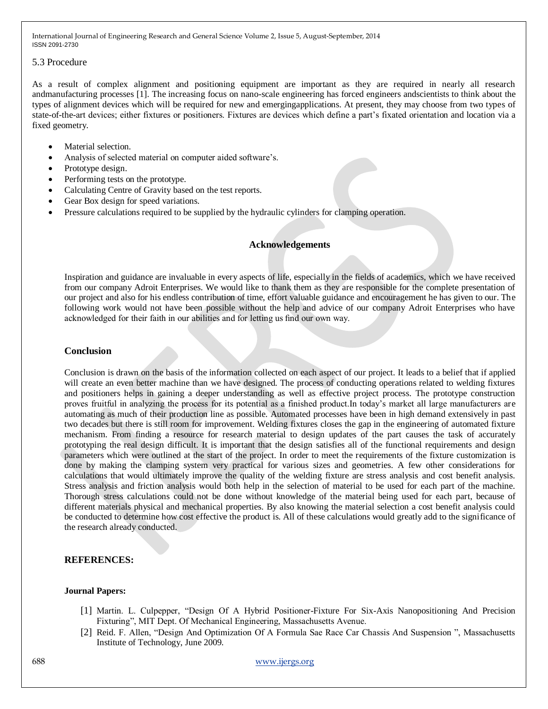#### 5.3 Procedure

As a result of complex alignment and positioning equipment are important as they are required in nearly all research andmanufacturing processes [1]. The increasing focus on nano-scale engineering has forced engineers andscientists to think about the types of alignment devices which will be required for new and emergingapplications. At present, they may choose from two types of state-of-the-art devices; either fixtures or positioners. Fixtures are devices which define a part's fixated orientation and location via a fixed geometry.

- Material selection.
- Analysis of selected material on computer aided software's.
- Prototype design.
- Performing tests on the prototype.
- Calculating Centre of Gravity based on the test reports.
- Gear Box design for speed variations.
- Pressure calculations required to be supplied by the hydraulic cylinders for clamping operation.

## **Acknowledgements**

Inspiration and guidance are invaluable in every aspects of life, especially in the fields of academics, which we have received from our company Adroit Enterprises. We would like to thank them as they are responsible for the complete presentation of our project and also for his endless contribution of time, effort valuable guidance and encouragement he has given to our. The following work would not have been possible without the help and advice of our company Adroit Enterprises who have acknowledged for their faith in our abilities and for letting us find our own way.

## **Conclusion**

Conclusion is drawn on the basis of the information collected on each aspect of our project. It leads to a belief that if applied will create an even better machine than we have designed. The process of conducting operations related to welding fixtures and positioners helps in gaining a deeper understanding as well as effective project process. The prototype construction proves fruitful in analyzing the process for its potential as a finished product.In today's market all large manufacturers are automating as much of their production line as possible. Automated processes have been in high demand extensively in past two decades but there is still room for improvement. Welding fixtures closes the gap in the engineering of automated fixture mechanism. From finding a resource for research material to design updates of the part causes the task of accurately prototyping the real design difficult. It is important that the design satisfies all of the functional requirements and design parameters which were outlined at the start of the project. In order to meet the requirements of the fixture customization is done by making the clamping system very practical for various sizes and geometries. A few other considerations for calculations that would ultimately improve the quality of the welding fixture are stress analysis and cost benefit analysis. Stress analysis and friction analysis would both help in the selection of material to be used for each part of the machine. Thorough stress calculations could not be done without knowledge of the material being used for each part, because of different materials physical and mechanical properties. By also knowing the material selection a cost benefit analysis could be conducted to determine how cost effective the product is. All of these calculations would greatly add to the significance of the research already conducted.

#### **REFERENCES:**

#### **Journal Papers:**

- [1] Martin. L. Culpepper, "Design Of A Hybrid Positioner-Fixture For Six-Axis Nanopositioning And Precision Fixturing", MIT Dept. Of Mechanical Engineering, Massachusetts Avenue.
- [2] Reid. F. Allen, "Design And Optimization Of A Formula Sae Race Car Chassis And Suspension ", Massachusetts Institute of Technology, June 2009.